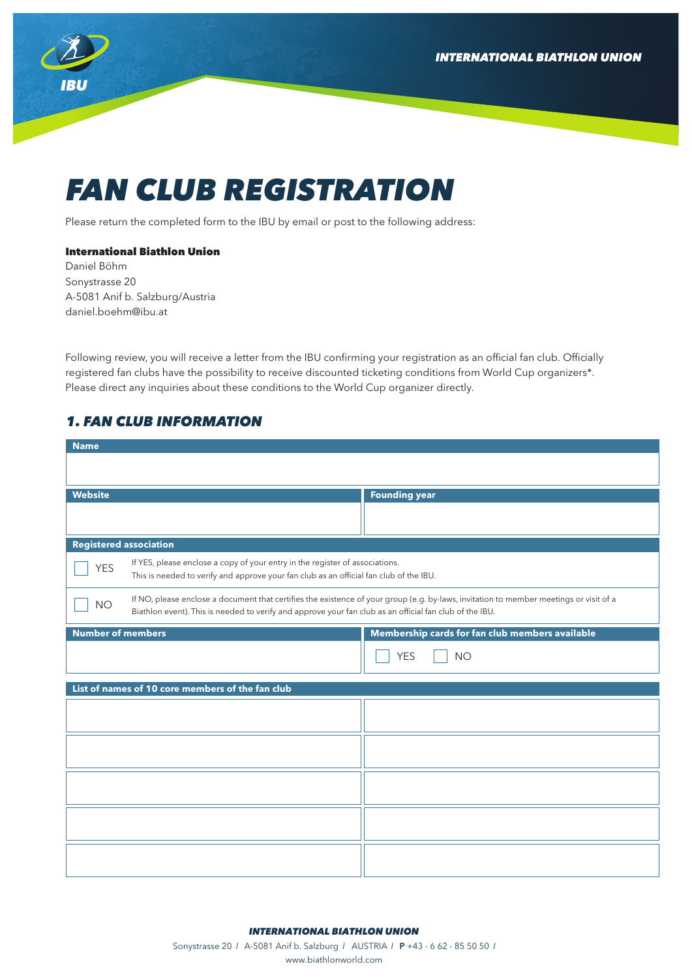**INTERNATIONAL BIATHLON UNION** 



# *FAN CLUB REGISTRATION*

Please return the completed form to the IBU by email or post to the following address:

#### International Biathlon Union

Daniel Böhm Sonystrasse 20 A-5081 Anif b. Salzburg/Austria daniel.boehm@ibu.at

Following review, you will receive a letter from the IBU confirming your registration as an official fan club. Officially registered fan clubs have the possibility to receive discounted ticketing conditions from World Cup organizers\*. Please direct any inquiries about these conditions to the World Cup organizer directly.

## *1. FAN CLUB INFORMATION*

| <b>Name</b>                                                                                                                                                                                                                                                    |                                                 |  |
|----------------------------------------------------------------------------------------------------------------------------------------------------------------------------------------------------------------------------------------------------------------|-------------------------------------------------|--|
|                                                                                                                                                                                                                                                                |                                                 |  |
| <b>Website</b>                                                                                                                                                                                                                                                 | <b>Founding year</b>                            |  |
|                                                                                                                                                                                                                                                                |                                                 |  |
| <b>Registered association</b>                                                                                                                                                                                                                                  |                                                 |  |
| If YES, please enclose a copy of your entry in the register of associations.<br><b>YES</b><br>This is needed to verify and approve your fan club as an official fan club of the IBU.                                                                           |                                                 |  |
| If NO, please enclose a document that certifies the existence of your group (e.g. by-laws, invitation to member meetings or visit of a<br><b>NO</b><br>Biathlon event). This is needed to verify and approve your fan club as an official fan club of the IBU. |                                                 |  |
| <b>Number of members</b>                                                                                                                                                                                                                                       | Membership cards for fan club members available |  |
|                                                                                                                                                                                                                                                                | <b>YES</b><br><b>NO</b>                         |  |
| List of names of 10 core members of the fan club                                                                                                                                                                                                               |                                                 |  |
|                                                                                                                                                                                                                                                                |                                                 |  |
|                                                                                                                                                                                                                                                                |                                                 |  |
|                                                                                                                                                                                                                                                                |                                                 |  |
|                                                                                                                                                                                                                                                                |                                                 |  |
|                                                                                                                                                                                                                                                                |                                                 |  |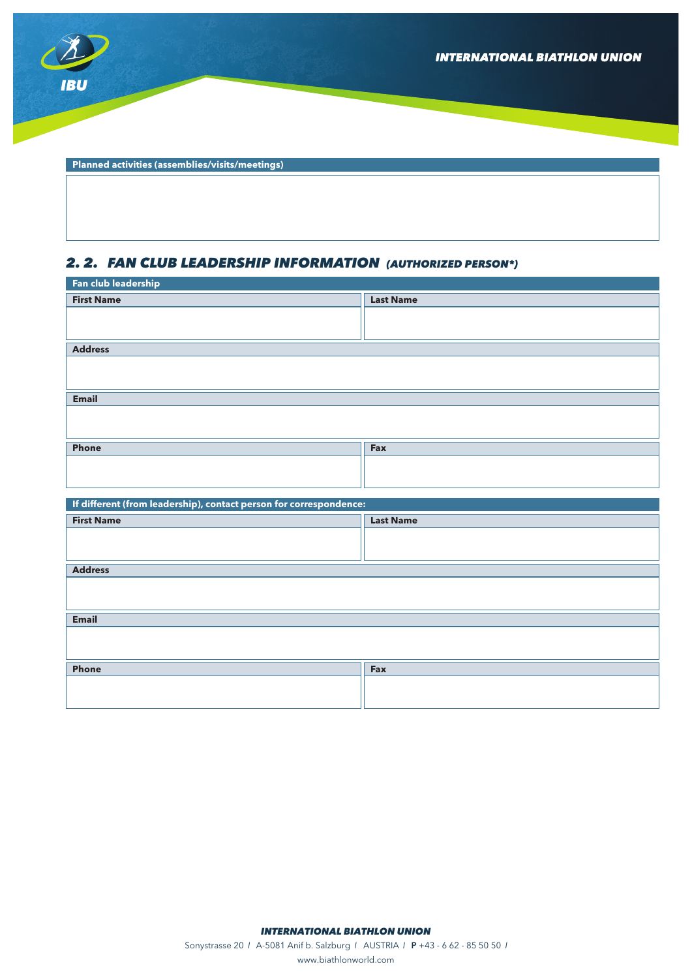

**Planned activities (assemblies/visits/meetings)**

## *2. 2. FAN CLUB LEADERSHIP INFORMATION (AUTHORIZED PERSON\*)*

| Fan club leadership                                                |                  |  |
|--------------------------------------------------------------------|------------------|--|
| <b>First Name</b>                                                  | <b>Last Name</b> |  |
|                                                                    |                  |  |
|                                                                    |                  |  |
| <b>Address</b>                                                     |                  |  |
|                                                                    |                  |  |
|                                                                    |                  |  |
| <b>Email</b>                                                       |                  |  |
|                                                                    |                  |  |
|                                                                    |                  |  |
| Phone                                                              | Fax              |  |
|                                                                    |                  |  |
|                                                                    |                  |  |
|                                                                    |                  |  |
|                                                                    |                  |  |
| If different (from leadership), contact person for correspondence: |                  |  |
| <b>First Name</b>                                                  | <b>Last Name</b> |  |
|                                                                    |                  |  |
|                                                                    |                  |  |
| <b>Address</b>                                                     |                  |  |
|                                                                    |                  |  |
|                                                                    |                  |  |
| <b>Email</b>                                                       |                  |  |
|                                                                    |                  |  |
|                                                                    |                  |  |
| Phone                                                              | Fax              |  |
|                                                                    |                  |  |